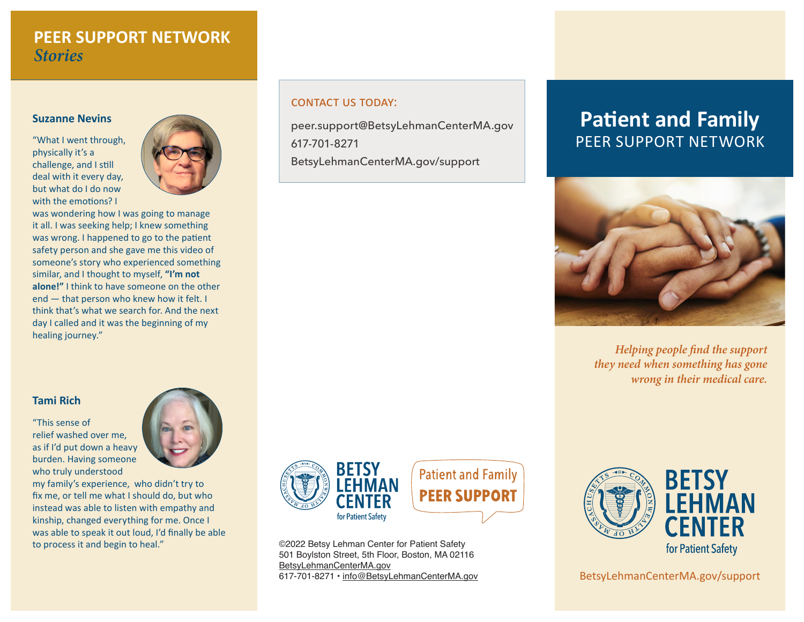### **PEER SUPPORT NETWORK** *Stories*

#### **Suzanne Nevins**

"What I went through, physically it's a challenge, and I still deal with it every day, but what do I do now with the emotions? I



was wondering how I was going to manage it all. I was seeking help; I knew something was wrong. I happened to go to the patient safety person and she gave me this video of someone's story who experienced something similar, and I thought to myself, **"I'm not alone!"** I think to have someone on the other end — that person who knew how it felt. I think that's what we search for. And the next day I called and it was the beginning of my healing journey."

### **Tami Rich**

"This sense of relief washed over me, as if I'd put down a heavy burden. Having someone who truly understood



my family's experience, who didn't try to fix me, or tell me what I should do, but who instead was able to listen with empathy and kinship, changed everything for me. Once I was able to speak it out loud, I'd finally be able to process it and begin to heal."

#### contact us today:

peer.support@BetsyLehmanCenterMA.gov 617-701-8271 BetsyLehmanCenterMA.gov/support



**Patient and Family PEER SUPPORT** 

©2022 Betsy Lehman Center for Patient Safety 501 Boylston Street, 5th Floor, Boston, MA 02116 BetsyLehmanCenterMA.gov 617-701-8271 • [info@B](mailto:info%40BetsyLehmanCenterMA.gov?subject=)etsyLehmanCenterMA.gov

# **Patient and Family**  PEER SUPPORT NETWORK



*Helping people find the support they need when something has gone wrong in their medical care.*



BetsyLehmanCenterMA.gov/support